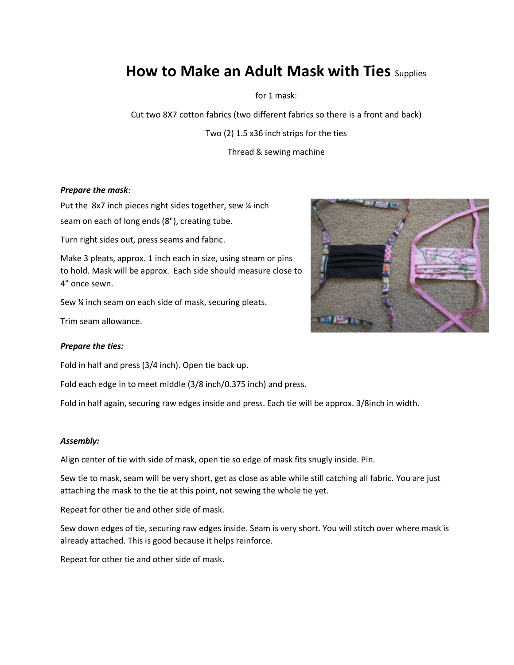## **How to Make an Adult Mask with Ties** Supplies

for 1 mask:

Cut two 8X7 cotton fabrics (two different fabrics so there is a front and back)

Two (2) 1.5 x36 inch strips for the ties

Thread & sewing machine

#### *Prepare the mask*:

Put the 8x7 inch pieces right sides together, sew 1/4 inch seam on each of long ends (8"), creating tube.

Turn right sides out, press seams and fabric.

Make 3 pleats, approx. 1 inch each in size, using steam or pins to hold. Mask will be approx. Each side should measure close to 4" once sewn.

Sew ¼ inch seam on each side of mask, securing pleats.

Trim seam allowance.

#### *Prepare the ties:*

Fold in half and press (3/4 inch). Open tie back up.

Fold each edge in to meet middle (3/8 inch/0.375 inch) and press.

Fold in half again, securing raw edges inside and press. Each tie will be approx. 3/8inch in width.

#### *Assembly:*

Align center of tie with side of mask, open tie so edge of mask fits snugly inside. Pin.

Sew tie to mask, seam will be very short, get as close as able while still catching all fabric. You are just attaching the mask to the tie at this point, not sewing the whole tie yet.

Repeat for other tie and other side of mask.

Sew down edges of tie, securing raw edges inside. Seam is very short. You will stitch over where mask is already attached. This is good because it helps reinforce.

Repeat for other tie and other side of mask.